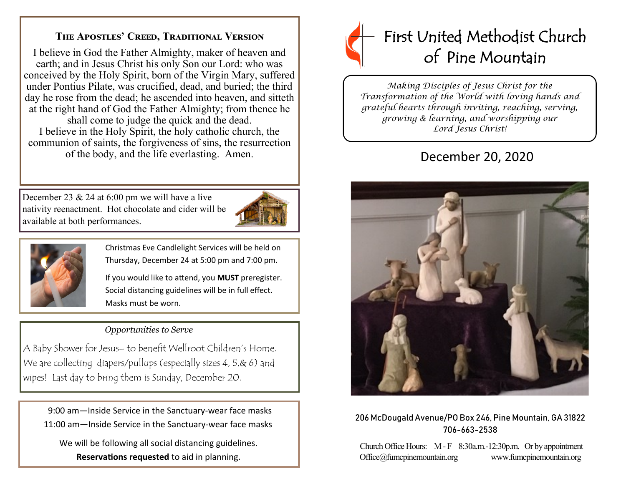# **The Apostles' Creed, Traditional Version**

I believe in God the Father Almighty, maker of heaven and earth; and in Jesus Christ his only Son our Lord: who was conceived by the Holy Spirit, born of the Virgin Mary, suffered under Pontius Pilate, was crucified, dead, and buried; the third day he rose from the dead; he ascended into heaven, and sitteth at the right hand of God the Father Almighty; from thence he shall come to judge the quick and the dead. I believe in the Holy Spirit, the holy catholic church, the communion of saints, the forgiveness of sins, the resurrection of the body, and the life everlasting. Amen.

December 23 & 24 at 6:00 pm we will have a live nativity reenactment. Hot chocolate and cider will be available at both performances.





Christmas Eve Candlelight Services will be held on Thursday, December 24 at 5:00 pm and 7:00 pm.

If you would like to attend, you **MUST** preregister. Social distancing guidelines will be in full effect. Masks must be worn.

## *Opportunities to Serve*

A Baby Shower for Jesus– to benefit Wellroot Children's Home. We are collecting diapers/pullups (especially sizes 4, 5, & 6) and wipes! Last day to bring them is Sunday, December 20.

 9:00 am—Inside Service in the Sanctuary-wear face masks 11:00 am—Inside Service in the Sanctuary-wear face masks

 We will be following all social distancing guidelines. **Reservations requested** to aid in planning.



*Making Disciples of Jesus Christ for the Transformation of the World with loving hands and grateful hearts through inviting, reaching, serving, growing & learning, and worshipping our Lord Jesus Christ!* 

# December 20, 2020



#### 206 McDougald Avenue/PO Box 246, Pine Mountain, GA 31822 706-663-2538

Church Office Hours: M - F 8:30a.m.-12:30p.m. Or by appointment Office@fumcpinemountain.org www.fumcpinemountain.org